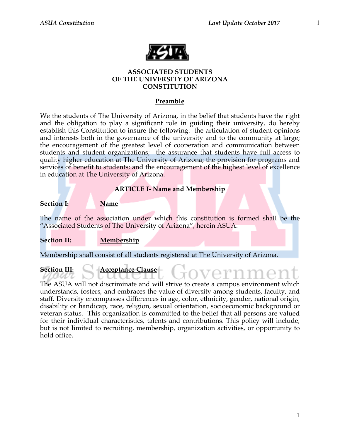

### **ASSOCIATED STUDENTS OF THE UNIVERSITY OF ARIZONA CONSTITUTION**

### **Preamble**

We the students of The University of Arizona, in the belief that students have the right and the obligation to play a significant role in guiding their university, do hereby establish this Constitution to insure the following: the articulation of student opinions and interests both in the governance of the university and to the community at large; the encouragement of the greatest level of cooperation and communication between students and student organizations; the assurance that students have full access to quality higher education at The University of Arizona; the provision for programs and services of benefit to students; and the encouragement of the highest level of excellence in education at The University of Arizona.

### **ARTICLE I- Name and Membership**

**Section I: Name**

The name of the association under which this constitution is formed shall be the "Associated Students of The University of Arizona", herein ASUA.

**Section II: Membership**

Membership shall consist of all students registered at The University of Arizona.

### **Section III: Acceptance Clause**

The ASUA will not discriminate and will strive to create a campus environment which understands, fosters, and embraces the value of diversity among students, faculty, and staff. Diversity encompasses differences in age, color, ethnicity, gender, national origin, disability or handicap, race, religion, sexual orientation, socioeconomic background or veteran status. This organization is committed to the belief that all persons are valued for their individual characteristics, talents and contributions. This policy will include, but is not limited to recruiting, membership, organization activities, or opportunity to hold office.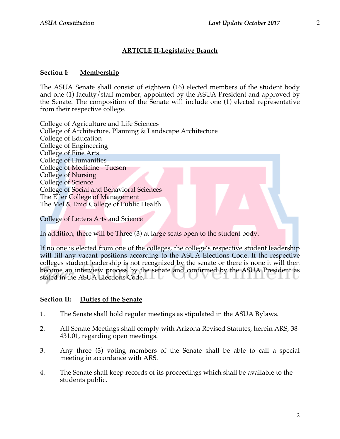### **ARTICLE II-Legislative Branch**

### **Section I: Membership**

The ASUA Senate shall consist of eighteen (16) elected members of the student body and one (1) faculty/staff member; appointed by the ASUA President and approved by the Senate. The composition of the Senate will include one (1) elected representative from their respective college.

College of Agriculture and Life Sciences College of Architecture, Planning & Landscape Architecture College of Education College of Engineering College of Fine Arts College of Humanities College of Medicine - Tucson College of Nursing College of Science College of Social and Behavioral Sciences The Eller College of Management The Mel & Enid College of Public Health

College of Letters Arts and Science

In addition, there will be Three (3) at large seats open to the student body.

If no one is elected from one of the colleges, the college's respective student leadership will fill any vacant positions according to the ASUA Elections Code. If the respective colleges student leadership is not recognized by the senate or there is none it will then become an interview process by the senate and confirmed by the ASUA President as stated in the ASUA Elections Code.

### **Section II: Duties of the Senate**

- 1. The Senate shall hold regular meetings as stipulated in the ASUA Bylaws.
- 2. All Senate Meetings shall comply with Arizona Revised Statutes, herein ARS, 38- 431.01, regarding open meetings.
- 3. Any three (3) voting members of the Senate shall be able to call a special meeting in accordance with ARS.
- 4. The Senate shall keep records of its proceedings which shall be available to the students public.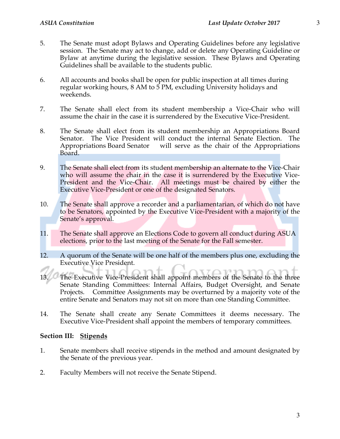- 5. The Senate must adopt Bylaws and Operating Guidelines before any legislative session. The Senate may act to change, add or delete any Operating Guideline or Bylaw at anytime during the legislative session. These Bylaws and Operating Guidelines shall be available to the students public.
- 6. All accounts and books shall be open for public inspection at all times during regular working hours, 8 AM to 5 PM, excluding University holidays and weekends.
- 7. The Senate shall elect from its student membership a Vice-Chair who will assume the chair in the case it is surrendered by the Executive Vice-President.
- 8. The Senate shall elect from its student membership an Appropriations Board Senator. The Vice President will conduct the internal Senate Election. The Appropriations Board Senator will serve as the chair of the Appropriations Board.
- 9. The Senate shall elect from its student membership an alternate to the Vice-Chair who will assume the chair in the case it is surrendered by the Executive Vice-President and the Vice-Chair. All meetings must be chaired by either the Executive Vice-President or one of the designated Senators.
- 10. The Senate shall approve a recorder and a parliamentarian, of which do not have to be Senators, appointed by the Executive Vice-President with a majority of the Senate's approval.
- 11. The Senate shall approve an Elections Code to govern all conduct during ASUA elections, prior to the last meeting of the Senate for the Fall semester.
- 12. A quorum of the Senate will be one half of the members plus one, excluding the Executive Vice President.
- 13. The Executive Vice-President shall appoint members of the Senate to the three Senate Standing Committees: Internal Affairs, Budget Oversight, and Senate Projects. Committee Assignments may be overturned by a majority vote of the entire Senate and Senators may not sit on more than one Standing Committee.
- 14. The Senate shall create any Senate Committees it deems necessary. The Executive Vice-President shall appoint the members of temporary committees.

### **Section III: Stipends**

- 1. Senate members shall receive stipends in the method and amount designated by the Senate of the previous year.
- 2. Faculty Members will not receive the Senate Stipend.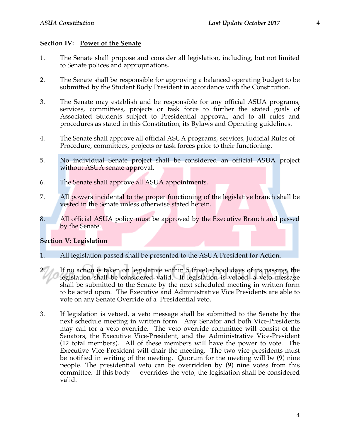### **Section IV: Power of the Senate**

- 1. The Senate shall propose and consider all legislation, including, but not limited to Senate polices and appropriations.
- 2. The Senate shall be responsible for approving a balanced operating budget to be submitted by the Student Body President in accordance with the Constitution.
- 3. The Senate may establish and be responsible for any official ASUA programs, services, committees, projects or task force to further the stated goals of Associated Students subject to Presidential approval, and to all rules and procedures as stated in this Constitution, its Bylaws and Operating guidelines.
- 4. The Senate shall approve all official ASUA programs, services, Judicial Rules of Procedure, committees, projects or task forces prior to their functioning.
- 5. No individual Senate project shall be considered an official ASUA project without ASUA senate approval.
- 6. The Senate shall approve all ASUA appointments.
- 7. All powers incidental to the proper functioning of the legislative branch shall be vested in the Senate unless otherwise stated herein.
- 8. All official ASUA policy must be approved by the Executive Branch and passed by the Senate.

### **Section V: Legislation**

- 1. All legislation passed shall be presented to the ASUA President for Action.
- 2. If no action is taken on legislative within 5 (five) school days of its passing, the legislation shall be considered valid. If legislation is vetoed, a veto message shall be submitted to the Senate by the next scheduled meeting in written form to be acted upon. The Executive and Administrative Vice Presidents are able to vote on any Senate Override of a Presidential veto.
- 3. If legislation is vetoed, a veto message shall be submitted to the Senate by the next schedule meeting in written form. Any Senator and both Vice-Presidents may call for a veto override. The veto override committee will consist of the Senators, the Executive Vice-President, and the Administrative Vice-President (12 total members). All of these members will have the power to vote. The Executive Vice-President will chair the meeting. The two vice-presidents must be notified in writing of the meeting. Quorum for the meeting will be (9) nine people. The presidential veto can be overridden by (9) nine votes from this committee. If this body overrides the veto, the legislation shall be considered valid.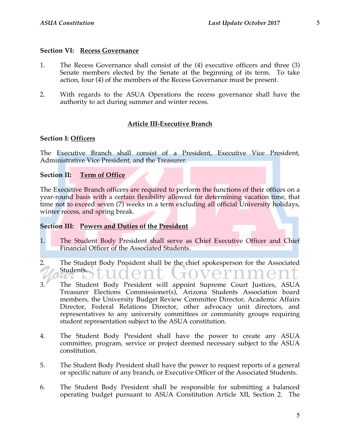### **Section VI: Recess Governance**

- 1. The Recess Governance shall consist of the (4) executive officers and three (3) Senate members elected by the Senate at the beginning of its term. To take action, four (4) of the members of the Recess Governance must be present.
- 2. With regards to the ASUA Operations the recess governance shall have the authority to act during summer and winter recess.

### **Article III-Executive Branch**

### **Section I: Officers**

The Executive Branch shall consist of a President, Executive Vice President, Administrative Vice President, and the Treasurer.

### **Section II: Term of Office**

The Executive Branch officers are required to perform the functions of their offices on a year-round basis with a certain flexibility allowed for determining vacation time, that time not to exceed seven (7) weeks in a term excluding all official University holidays, winter recess, and spring break.

### **Section III: Powers and Duties of the President**

- 1. The Student Body President shall serve as Chief Executive Officer and Chief Financial Officer of the Associated Students.
- 2. The Student Body President shall be the chief spokesperson for the Associated Students.
- 3. The Student Body President will appoint Supreme Court Justices, ASUA Treasurer Elections Commissioner(s), Arizona Students Association board members, the University Budget Review Committee Director, Academic Affairs Director, Federal Relations Director, other advocacy unit directors, and representatives to any university committees or community groups requiring student representation subject to the ASUA constitution.
- 4. The Student Body President shall have the power to create any ASUA committee, program, service or project deemed necessary subject to the ASUA constitution.
- 5. The Student Body President shall have the power to request reports of a general or specific nature of any branch, or Executive Officer of the Associated Students.
- 6. The Student Body President shall be responsible for submitting a balanced operating budget pursuant to ASUA Constitution Article XII, Section 2. The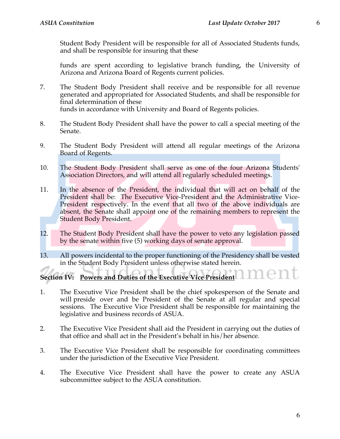Student Body President will be responsible for all of Associated Students funds, and shall be responsible for insuring that these

funds are spent according to legislative branch funding, the University of Arizona and Arizona Board of Regents current policies.

- 7. The Student Body President shall receive and be responsible for all revenue generated and appropriated for Associated Students, and shall be responsible for final determination of these funds in accordance with University and Board of Regents policies.
- 8. The Student Body President shall have the power to call a special meeting of the Senate.
- 9. The Student Body President will attend all regular meetings of the Arizona Board of Regents.
- 10. The Student Body President shall serve as one of the four Arizona Students' Association Directors, and will attend all regularly scheduled meetings.
- 11. In the absence of the President, the individual that will act on behalf of the President shall be: The Executive Vice-President and the Administrative Vice-President respectively. In the event that all two of the above individuals are absent, the Senate shall appoint one of the remaining members to represent the Student Body President.
- 12. The Student Body President shall have the power to veto any legislation passed by the senate within five (5) working days of senate approval.
- 13. All powers incidental to the proper functioning of the Presidency shall be vested in the Student Body President unless otherwise stated herein.

**Section IV: Powers and Duties of the Executive Vice President**

- 1. The Executive Vice President shall be the chief spokesperson of the Senate and will preside over and be President of the Senate at all regular and special sessions. The Executive Vice President shall be responsible for maintaining the legislative and business records of ASUA.
- 2. The Executive Vice President shall aid the President in carrying out the duties of that office and shall act in the President's behalf in his/her absence.
- 3. The Executive Vice President shall be responsible for coordinating committees under the jurisdiction of the Executive Vice President.
- 4. The Executive Vice President shall have the power to create any ASUA subcommittee subject to the ASUA constitution.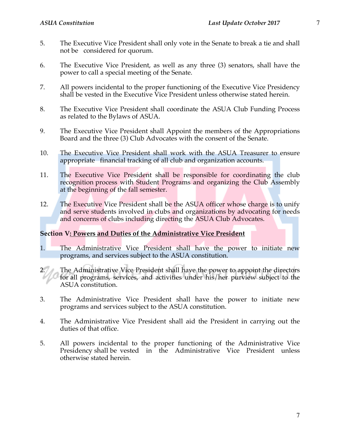- 5. The Executive Vice President shall only vote in the Senate to break a tie and shall not be considered for quorum.
- 6. The Executive Vice President, as well as any three (3) senators, shall have the power to call a special meeting of the Senate.
- 7. All powers incidental to the proper functioning of the Executive Vice Presidency shall be vested in the Executive Vice President unless otherwise stated herein.
- 8. The Executive Vice President shall coordinate the ASUA Club Funding Process as related to the Bylaws of ASUA.
- 9. The Executive Vice President shall Appoint the members of the Appropriations Board and the three (3) Club Advocates with the consent of the Senate.
- 10. The Executive Vice President shall work with the ASUA Treasurer to ensure appropriate financial tracking of all club and organization accounts.
- 11. The Executive Vice President shall be responsible for coordinating the club recognition process with Student Programs and organizing the Club Assembly at the beginning of the fall semester.
- 12. The Executive Vice President shall be the ASUA officer whose charge is to unify and serve students involved in clubs and organizations by advocating for needs and concerns of clubs including directing the ASUA Club Advocates.

### **Section V: Powers and Duties of the Administrative Vice President**

- 1. The Administrative Vice President shall have the power to initiate new programs, and services subject to the ASUA constitution.
- 2. The Administrative Vice President shall have the power to appoint the directors for all programs, services, and activities under his/her purview subject to the ASUA constitution.
- 3. The Administrative Vice President shall have the power to initiate new programs and services subject to the ASUA constitution.
- 4. The Administrative Vice President shall aid the President in carrying out the duties of that office.
- 5. All powers incidental to the proper functioning of the Administrative Vice Presidency shall be vested in the Administrative Vice President unless otherwise stated herein.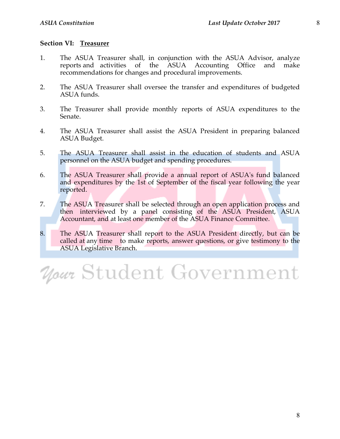### **Section VI: Treasurer**

- 1. The ASUA Treasurer shall, in conjunction with the ASUA Advisor, analyze reports and activities of the ASUA Accounting Office and make recommendations for changes and procedural improvements.
- 2. The ASUA Treasurer shall oversee the transfer and expenditures of budgeted ASUA funds.
- 3. The Treasurer shall provide monthly reports of ASUA expenditures to the Senate.
- 4. The ASUA Treasurer shall assist the ASUA President in preparing balanced ASUA Budget.
- 5. The ASUA Treasurer shall assist in the education of students and ASUA personnel on the ASUA budget and spending procedures.
- 6. The ASUA Treasurer shall provide a annual report of ASUA's fund balanced and expenditures by the 1st of September of the fiscal year following the year reported.
- 7. The ASUA Treasurer shall be selected through an open application process and then interviewed by a panel consisting of the ASUA President, ASUA Accountant, and at least one member of the ASUA Finance Committee.
- 8. The ASUA Treasurer shall report to the ASUA President directly, but can be called at any time to make reports, answer questions, or give testimony to the ASUA Legislative Branch.

# Your Student Government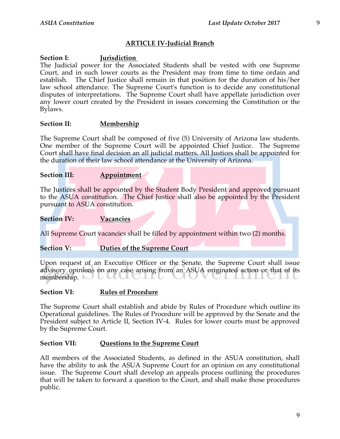### **ARTICLE IV-Judicial Branch**

### **Section I: Jurisdiction**

The Judicial power for the Associated Students shall be vested with one Supreme Court, and in such lower courts as the President may from time to time ordain and establish. The Chief Justice shall remain in that position for the duration of his/her law school attendance. The Supreme Court's function is to decide any constitutional disputes of interpretations. The Supreme Court shall have appellate jurisdiction over any lower court created by the President in issues concerning the Constitution or the Bylaws.

### **Section II: Membership**

The Supreme Court shall be composed of five (5) University of Arizona law students. One member of the Supreme Court will be appointed Chief Justice. The Supreme Court shall have final decision an all judicial matters. All Justices shall be appointed for the duration of their law school attendance at the University of Arizona.

### **Section III: Appointment**

The Justices shall be appointed by the Student Body President and approved pursuant to the ASUA constitution. The Chief Justice shall also be appointed by the President pursuant to ASUA constitution.

### **Section IV: Vacancies**

All Supreme Court vacancies shall be filled by appointment within two (2) months.

### **Section V: Duties of the Supreme Court**

Upon request of an Executive Officer or the Senate, the Supreme Court shall issue advisory opinions on any case arising from an ASUA originated action or that of its membership. الات

### **Section VI: Rules of Procedure**

The Supreme Court shall establish and abide by Rules of Procedure which outline its Operational guidelines. The Rules of Procedure will be approved by the Senate and the President subject to Article II, Section IV-4. Rules for lower courts must be approved by the Supreme Court.

### **Section VII: Questions to the Supreme Court**

All members of the Associated Students, as defined in the ASUA constitution, shall have the ability to ask the ASUA Supreme Court for an opinion on any constitutional issue. The Supreme Court shall develop an appeals process outlining the procedures that will be taken to forward a question to the Court, and shall make those procedures public.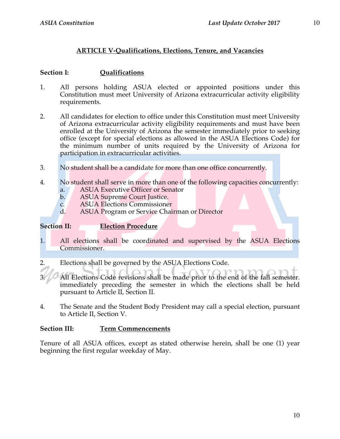### **ARTICLE V-Qualifications, Elections, Tenure, and Vacancies**

### **Section I: Qualifications**

- 1. All persons holding ASUA elected or appointed positions under this Constitution must meet University of Arizona extracurricular activity eligibility requirements.
- 2. All candidates for election to office under this Constitution must meet University of Arizona extracurricular activity eligibility requirements and must have been enrolled at the University of Arizona the semester immediately prior to seeking office (except for special elections as allowed in the ASUA Elections Code) for the minimum number of units required by the University of Arizona for participation in extracurricular activities.
- 3. No student shall be a candidate for more than one office concurrently.
- 4. No student shall serve in more than one of the following capacities concurrently: a. ASUA Executive Officer or Senator
	- b. ASUA Supreme Court Justice.
	- c. ASUA Elections Commissioner
	- d. ASUA Program or Service Chairman or Director

### **Section II: Election Procedure**

- 1. All elections shall be coordinated and supervised by the ASUA Elections Commissioner.
- 2. Elections shall be governed by the ASUA Elections Code.
- All Elections Code revisions shall be made prior to the end of the fall semester. immediately preceding the semester in which the elections shall be held pursuant to Article II, Section II.
- 4. The Senate and the Student Body President may call a special election, pursuant to Article II, Section V.

### **Section III: Term Commencements**

Tenure of all ASUA offices, except as stated otherwise herein, shall be one (1) year beginning the first regular weekday of May.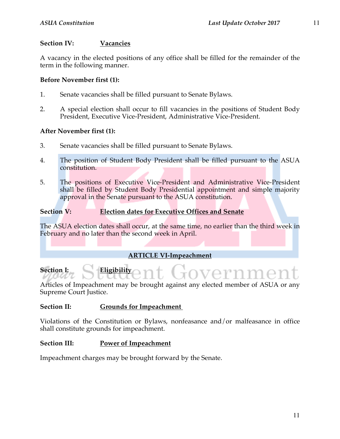### **Section IV: Vacancies**

A vacancy in the elected positions of any office shall be filled for the remainder of the term in the following manner.

### **Before November first (1):**

- 1. Senate vacancies shall be filled pursuant to Senate Bylaws.
- 2. A special election shall occur to fill vacancies in the positions of Student Body President, Executive Vice-President, Administrative Vice-President.

### **After November first (1):**

- 3. Senate vacancies shall be filled pursuant to Senate Bylaws.
- 4. The position of Student Body President shall be filled pursuant to the ASUA constitution.
- 5. The positions of Executive Vice-President and Administrative Vice-President shall be filled by Student Body Presidential appointment and simple majority approval in the Senate pursuant to the ASUA constitution.

### **Section V: Election dates for Executive Offices and Senate**

The ASUA election dates shall occur, at the same time, no earlier than the third week in February and no later than the second week in April.

### **ARTICLE VI-Impeachment**

## **Section I: Eligibility**

Articles of Impeachment may be brought against any elected member of ASUA or any Supreme Court Justice.

### **Section II: Grounds for Impeachment**

Violations of the Constitution or Bylaws, nonfeasance and/or malfeasance in office shall constitute grounds for impeachment.

### **Section III: Power of Impeachment**

Impeachment charges may be brought forward by the Senate.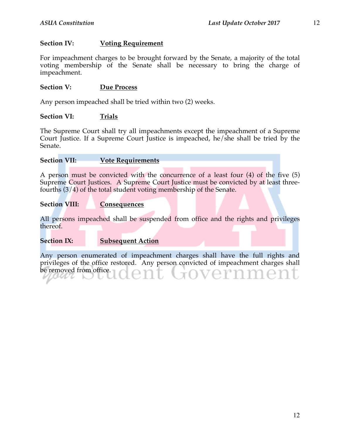### **Section IV: Voting Requirement**

For impeachment charges to be brought forward by the Senate, a majority of the total voting membership of the Senate shall be necessary to bring the charge of impeachment.

### Section V: Due Process

Any person impeached shall be tried within two (2) weeks.

### **Section VI: Trials**

The Supreme Court shall try all impeachments except the impeachment of a Supreme Court Justice. If a Supreme Court Justice is impeached, he/she shall be tried by the Senate.

### **Section VII: Vote Requirements**

A person must be convicted with the concurrence of a least four (4) of the five (5) Supreme Court Justices. A Supreme Court Justice must be convicted by at least threefourths (3/4) of the total student voting membership of the Senate.

### **Section VIII: Consequences**

All persons impeached shall be suspended from office and the rights and privileges thereof.

**Section IX: Subsequent Action**

Any person enumerated of impeachment charges shall have the full rights and privileges of the office restored. Any person convicted of impeachment charges shall be removed from office.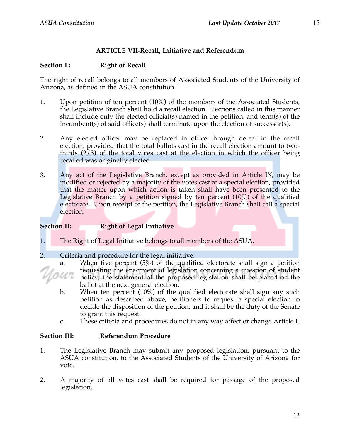### **ARTICLE VII-Recall, Initiative and Referendum**

### **Section I: Right of Recall**

The right of recall belongs to all members of Associated Students of the University of Arizona, as defined in the ASUA constitution.

- 1. Upon petition of ten percent  $(10\%)$  of the members of the Associated Students, the Legislative Branch shall hold a recall election. Elections called in this manner shall include only the elected official(s) named in the petition, and term(s) of the incumbent(s) of said office(s) shall terminate upon the election of successor(s).
- 2. Any elected officer may be replaced in office through defeat in the recall election, provided that the total ballots cast in the recall election amount to twothirds  $(2/3)$  of the total votes cast at the election in which the officer being recalled was originally elected.
- 3. Any act of the Legislative Branch, except as provided in Article IX, may be modified or rejected by a majority of the votes cast at a special election, provided that the matter upon which action is taken shall have been presented to the Legislative Branch by a petition signed by ten percent  $(10\%)$  of the qualified electorate. Upon receipt of the petition, the Legislative Branch shall call a special election.

### **Section II: Right of Legal Initiative**

1. The Right of Legal Initiative belongs to all members of the ASUA.

2. Criteria and procedure for the legal initiative:

- a. When five percent (5%) of the qualified electorate shall sign a petition requesting the enactment of legislation concerning a question of student savr policy, the statement of the proposed legislation shall be placed on the ballot at the next general election.
	- b. When ten percent (10%) of the qualified electorate shall sign any such petition as described above, petitioners to request a special election to decide the disposition of the petition; and it shall be the duty of the Senate to grant this request.
	- c. These criteria and procedures do not in any way affect or change Article I.

### **Section III: Referendum Procedure**

- 1. The Legislative Branch may submit any proposed legislation, pursuant to the ASUA constitution, to the Associated Students of the University of Arizona for vote.
- 2. A majority of all votes cast shall be required for passage of the proposed legislation.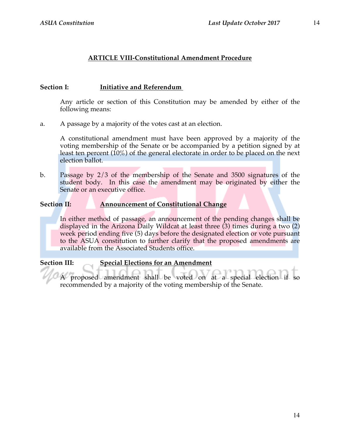### **ARTICLE VIII-Constitutional Amendment Procedure**

### **Section I: Initiative and Referendum**

Any article or section of this Constitution may be amended by either of the following means:

a. A passage by a majority of the votes cast at an election.

A constitutional amendment must have been approved by a majority of the voting membership of the Senate or be accompanied by a petition signed by at least ten percent  $(10\%)$  of the general electorate in order to be placed on the next election ballot.

b. Passage by 2/3 of the membership of the Senate and 3500 signatures of the student body. In this case the amendment may be originated by either the Senate or an executive office.

### **Section II: Announcement of Constitutional Change**

In either method of passage, an announcement of the pending changes shall be displayed in the Arizona Daily Wildcat at least three  $(3)$  times during a two  $(2)$ week period ending five (5) days before the designated election or vote pursuant to the ASUA constitution to further clarify that the proposed amendments are available from the Associated Students office.

### **Section III: Special Elections for an Amendment**

A proposed amendment shall be voted on at a special election if so recommended by a majority of the voting membership of the Senate.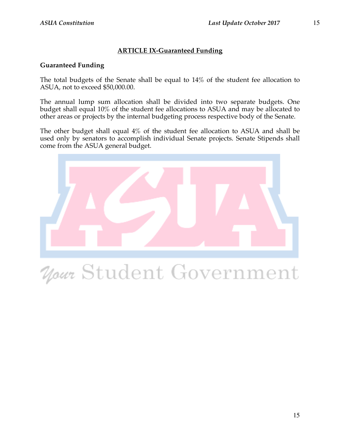### **ARTICLE IX-Guaranteed Funding**

### **Guaranteed Funding**

The total budgets of the Senate shall be equal to 14% of the student fee allocation to ASUA, not to exceed \$50,000.00.

The annual lump sum allocation shall be divided into two separate budgets. One budget shall equal 10% of the student fee allocations to ASUA and may be allocated to other areas or projects by the internal budgeting process respective body of the Senate.

The other budget shall equal 4% of the student fee allocation to ASUA and shall be used only by senators to accomplish individual Senate projects. Senate Stipends shall come from the ASUA general budget.



# Your Student Government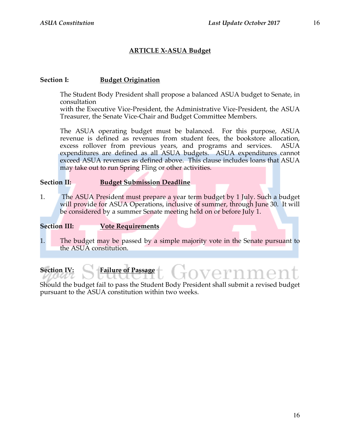### **ARTICLE X-ASUA Budget**

### **Section I: Budget Origination**

The Student Body President shall propose a balanced ASUA budget to Senate, in consultation

with the Executive Vice-President, the Administrative Vice-President, the ASUA Treasurer, the Senate Vice-Chair and Budget Committee Members.

The ASUA operating budget must be balanced. For this purpose, ASUA revenue is defined as revenues from student fees, the bookstore allocation, excess rollover from previous years, and programs and services. ASUA expenditures are defined as all ASUA budgets. ASUA expenditures cannot exceed ASUA revenues as defined above. This clause includes loans that ASUA may take out to run Spring Fling or other activities.

### **Section II: Budget Submission Deadline**

1. The ASUA President must prepare a year term budget by 1 July. Such a budget will provide for ASUA Operations, inclusive of summer, through June 30. It will be considered by a summer Senate meeting held on or before July 1.

### **Section III: Vote Requirements**

1. The budget may be passed by a simple majority vote in the Senate pursuant to the ASUA constitution.

### **Section IV: Failure of Passage**

Should the budget fail to pass the Student Body President shall submit a revised budget pursuant to the ASUA constitution within two weeks.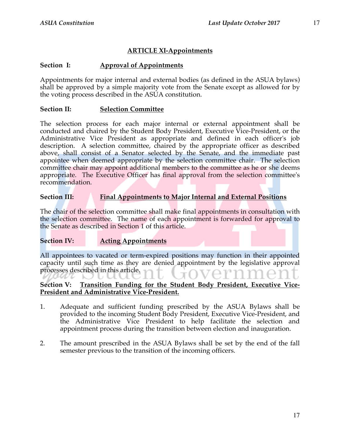### **ARTICLE XI-Appointments**

### **Section I: Approval of Appointments**

Appointments for major internal and external bodies (as defined in the ASUA bylaws) shall be approved by a simple majority vote from the Senate except as allowed for by the voting process described in the ASUA constitution.

### **Section II: Selection Committee**

The selection process for each major internal or external appointment shall be conducted and chaired by the Student Body President, Executive Vice-President, or the Administrative Vice President as appropriate and defined in each officer's job description. A selection committee, chaired by the appropriate officer as described above, shall consist of a Senator selected by the Senate, and the immediate past appointee when deemed appropriate by the selection committee chair. The selection committee chair may appoint additional members to the committee as he or she deems appropriate. The Executive Officer has final approval from the selection committee's recommendation.

### **Section III: Final Appointments to Major Internal and External Positions**

The chair of the selection committee shall make final appointments in consultation with the selection committee. The name of each appointment is forwarded for approval to the Senate as described in Section 1 of this article.

### **Section IV: Acting Appointments**

All appointees to vacated or term-expired positions may function in their appointed capacity until such time as they are denied appointment by the legislative approval processes described in this article.

### **Section V: Transition Funding for the Student Body President, Executive Vice-President and Administrative Vice-President.**

- 1. Adequate and sufficient funding prescribed by the ASUA Bylaws shall be provided to the incoming Student Body President, Executive Vice-President, and the Administrative Vice President to help facilitate the selection and appointment process during the transition between election and inauguration.
- 2. The amount prescribed in the ASUA Bylaws shall be set by the end of the fall semester previous to the transition of the incoming officers.